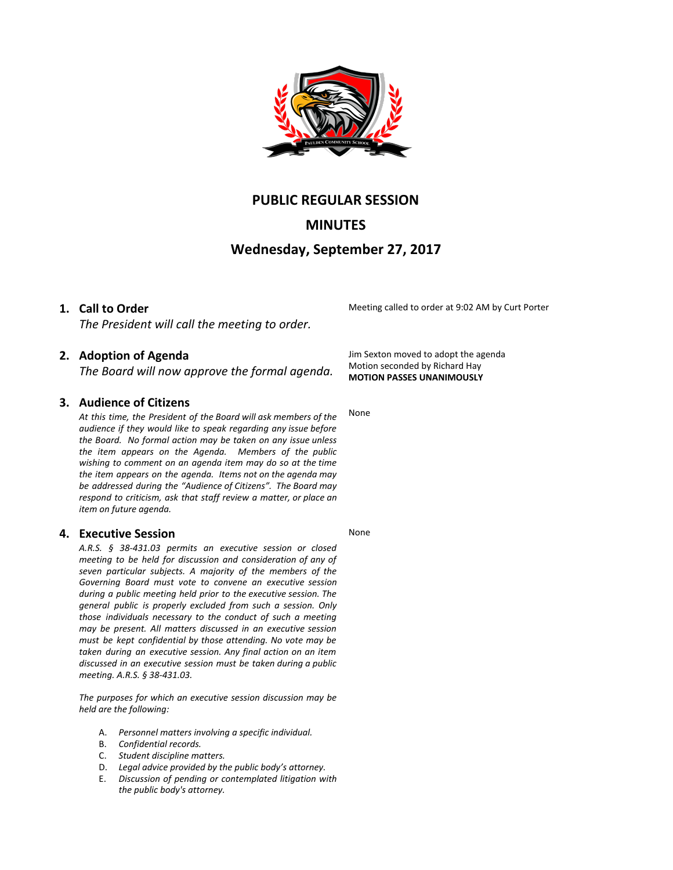

## **PUBLIC REGULAR SESSION**

# **MINUTES**

## **Wednesday, September 27, 2017**

### **1. Call to Order**

*The President will call the meeting to order.*

### **2. Adoption of Agenda**

*The Board will now approve the formal agenda.*

### **3. Audience of Citizens**

*At this time, the President of the Board will ask members of the audience if they would like to speak regarding any issue before the Board. No formal action may be taken on any issue unless the item appears on the Agenda. Members of the public wishing to comment on an agenda item may do so at the time the item appears on the agenda. Items not on the agenda may be addressed during the "Audience of Citizens". The Board may respond to criticism, ask that staff review a matter, or place an item on future agenda.*

#### **4. Executive Session**

*A.R.S. § 38-431.03 permits an executive session or closed meeting to be held for discussion and consideration of any of seven particular subjects. A majority of the members of the Governing Board must vote to convene an executive session during a public meeting held prior to the executive session. The general public is properly excluded from such a session. Only those individuals necessary to the conduct of such a meeting may be present. All matters discussed in an executive session must be kept confidential by those attending. No vote may be taken during an executive session. Any final action on an item discussed in an executive session must be taken during a public meeting. A.R.S. § 38-431.03.*

*The purposes for which an executive session discussion may be held are the following:*

- A. *Personnel matters involving a specific individual.*
- B. *Confidential records.*
- C. *Student discipline matters.*
- D. *Legal advice provided by the public body's attorney.*
- E. *Discussion of pending or contemplated litigation with the public body's attorney.*

Meeting called to order at 9:02 AM by Curt Porter

Jim Sexton moved to adopt the agenda Motion seconded by Richard Hay **MOTION PASSES UNANIMOUSLY**

None

None